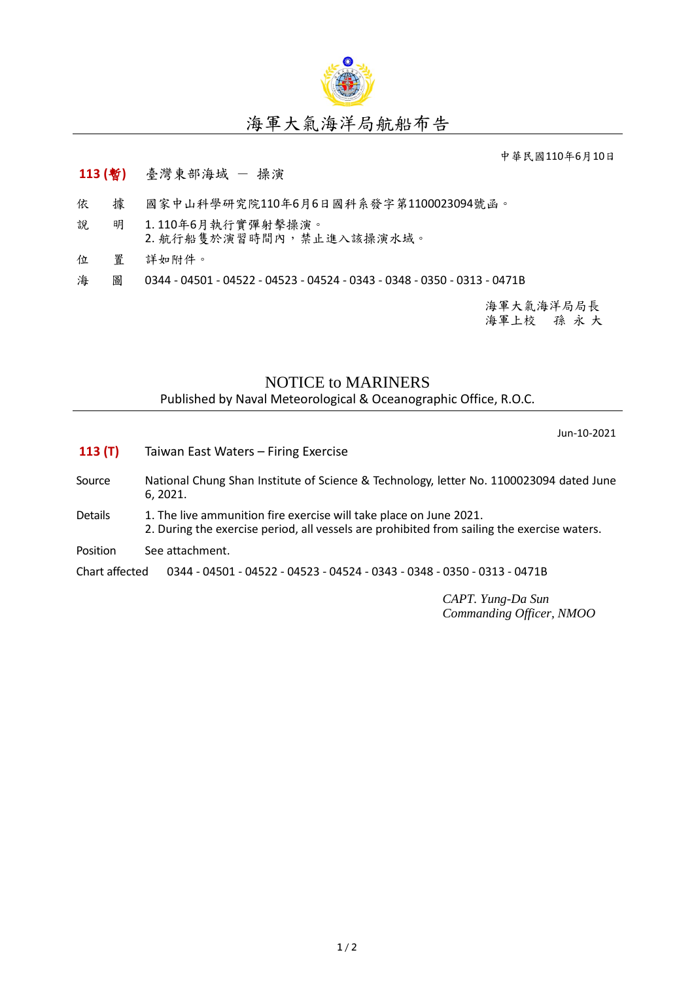

## 海軍大氣海洋局航船布告

中華民國110年6月10日

## **113 (**暫**)** 臺灣東部海域 - 操演

- 依 據 國家中山科學研究院110年6月6日國科系發字第1100023094號函。
- 說 明 1. 110年6月執行實彈射擊操演。 2. 航行船隻於演習時間內,禁止進入該操演水域。
- 位 置 詳如附件。
- 海 圖 0344 04501 04522 04523 04524 0343 0348 0350 0313 0471B

海軍大氣海洋局局長 海軍上校 孫 永 大

## NOTICE to MARINERS

Published by Naval Meteorological & Oceanographic Office, R.O.C.

Jun-10-2021

**113 (T)** Taiwan East Waters – Firing Exercise Source National Chung Shan Institute of Science & Technology, letter No. 1100023094 dated June 6, 2021. Details 1. The live ammunition fire exercise will take place on June 2021. 2. During the exercise period, all vessels are prohibited from sailing the exercise waters. Position See attachment. Chart affected 0344 - 04501 - 04522 - 04523 - 04524 - 0343 - 0348 - 0350 - 0313 - 0471B

> *CAPT. Yung-Da Sun Commanding Officer, NMOO*